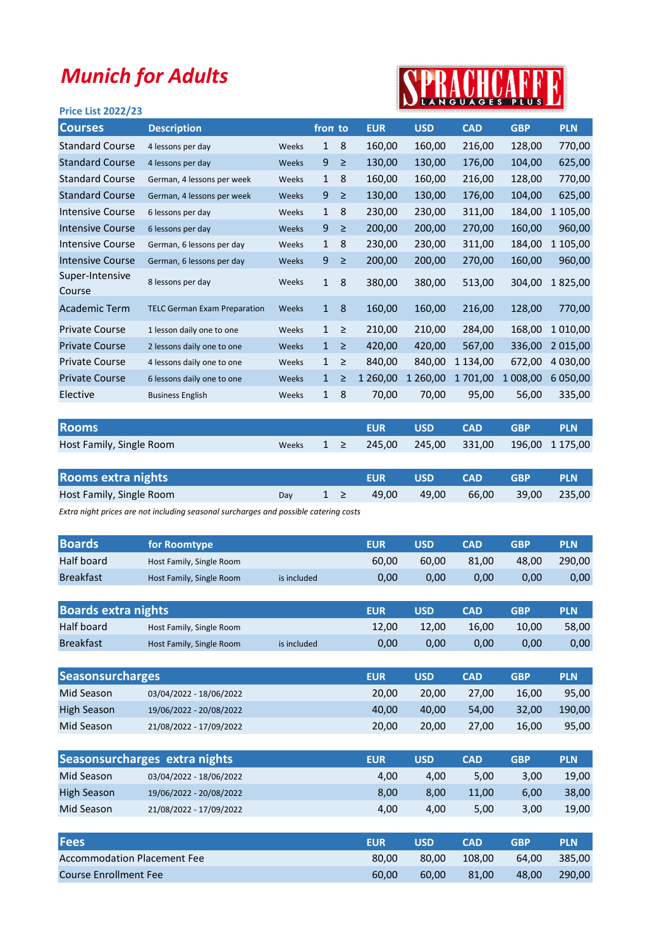## Munich for Adults

## SPRACHCAFF

| <b>Price List 2022/23</b> |                                     |       |              |        |            |            |            | ________   |            |
|---------------------------|-------------------------------------|-------|--------------|--------|------------|------------|------------|------------|------------|
| <b>Courses</b>            | <b>Description</b>                  |       | from to      |        | <b>EUR</b> | <b>USD</b> | <b>CAD</b> | <b>GBP</b> | <b>PLN</b> |
| <b>Standard Course</b>    | 4 lessons per day                   | Weeks | $\mathbf{1}$ | 8      | 160,00     | 160,00     | 216,00     | 128,00     | 770,00     |
| <b>Standard Course</b>    | 4 lessons per day                   | Weeks | 9            | $\geq$ | 130,00     | 130,00     | 176,00     | 104,00     | 625,00     |
| <b>Standard Course</b>    | German, 4 lessons per week          | Weeks | $\mathbf{1}$ | 8      | 160,00     | 160,00     | 216,00     | 128,00     | 770,00     |
| <b>Standard Course</b>    | German, 4 lessons per week          | Weeks | 9            | $\geq$ | 130,00     | 130,00     | 176,00     | 104,00     | 625,00     |
| <b>Intensive Course</b>   | 6 lessons per day                   | Weeks | $\mathbf{1}$ | 8      | 230,00     | 230,00     | 311,00     | 184,00     | 1 105,00   |
| <b>Intensive Course</b>   | 6 lessons per day                   | Weeks | 9            | $\geq$ | 200,00     | 200,00     | 270,00     | 160,00     | 960,00     |
| <b>Intensive Course</b>   | German, 6 lessons per day           | Weeks | $\mathbf{1}$ | 8      | 230,00     | 230,00     | 311,00     | 184,00     | 1 105,00   |
| <b>Intensive Course</b>   | German, 6 lessons per day           | Weeks | 9            | $\geq$ | 200,00     | 200,00     | 270,00     | 160,00     | 960,00     |
| Super-Intensive<br>Course | 8 lessons per day                   | Weeks | 1            | 8      | 380,00     | 380,00     | 513,00     | 304,00     | 1825,00    |
| Academic Term             | <b>TELC German Exam Preparation</b> | Weeks | $\mathbf{1}$ | 8      | 160,00     | 160,00     | 216,00     | 128,00     | 770,00     |
| <b>Private Course</b>     | 1 lesson daily one to one           | Weeks | $\mathbf{1}$ | $\geq$ | 210,00     | 210,00     | 284,00     | 168,00     | 1 0 1 0,00 |
| <b>Private Course</b>     | 2 lessons daily one to one          | Weeks | $\mathbf{1}$ | $\geq$ | 420,00     | 420,00     | 567,00     | 336,00     | 2 015,00   |
| <b>Private Course</b>     | 4 lessons daily one to one          | Weeks | $\mathbf{1}$ | ≥      | 840,00     | 840,00     | 1 134,00   | 672,00     | 4 030,00   |
| <b>Private Course</b>     | 6 lessons daily one to one          | Weeks | $\mathbf{1}$ | ≥      | 1 260,00   | 1 260,00   | 1701,00    | 1 008,00   | 6 050,00   |
| Elective                  | <b>Business English</b>             | Weeks | $\mathbf{1}$ | 8      | 70,00      | 70,00      | 95,00      | 56,00      | 335,00     |
|                           |                                     |       |              |        |            |            |            |            |            |

| <b>Rooms</b>             |  | <b>FUR</b>                                        | $\blacksquare$ USD $\blacksquare$ | <b>CAD</b> | $\sqrt{GBP}$ | <b>PLN</b> |
|--------------------------|--|---------------------------------------------------|-----------------------------------|------------|--------------|------------|
| Host Family, Single Room |  | Weeks $1 \ge 245,00$ 245,00 331,00 196,00 1175,00 |                                   |            |              |            |

| <b>Rooms extra nights</b> |  | <b>FUR</b> | USD CAD | <b>GBP</b>                                         | <b>PLN</b> |
|---------------------------|--|------------|---------|----------------------------------------------------|------------|
| Host Family, Single Room  |  |            |         | Day $1 \ge 49,00$ $49,00$ $66,00$ $39,00$ $235,00$ |            |
|                           |  |            |         |                                                    |            |

Extra night prices are not including seasonal surcharges and possible catering costs

| <b>Boards</b>              | for Roomtype             |             | <b>EUR</b> | <b>USD</b> | <b>CAD</b> | <b>GBP</b> | <b>PLN</b> |
|----------------------------|--------------------------|-------------|------------|------------|------------|------------|------------|
| Half board                 | Host Family, Single Room |             | 60,00      | 60,00      | 81,00      | 48,00      | 290,00     |
| <b>Breakfast</b>           | Host Family, Single Room | is included | 0,00       | 0,00       | 0,00       | 0,00       | 0,00       |
|                            |                          |             |            |            |            |            |            |
| <b>Boards extra nights</b> |                          |             | <b>EUR</b> | <b>USD</b> | <b>CAD</b> | <b>GBP</b> | <b>PLN</b> |
| Half board                 | Host Family, Single Room |             | 12,00      | 12,00      | 16,00      | 10,00      | 58,00      |
| <b>Breakfast</b>           | Host Family, Single Room | is included | 0,00       | 0,00       | 0,00       | 0,00       | 0,00       |

| <b>Seasonsurcharges</b> |                         | <b>EUR</b> | <b>USD</b> | <b>CAD</b> | GBP   | <b>PLN</b> |
|-------------------------|-------------------------|------------|------------|------------|-------|------------|
| Mid Season              | 03/04/2022 - 18/06/2022 | 20.00      | 20.00      | 27.00      | 16.00 | 95.00      |
| <b>High Season</b>      | 19/06/2022 - 20/08/2022 | 40.00      | 40.00      | 54.00      | 32.00 | 190.00     |
| Mid Season              | 21/08/2022 - 17/09/2022 | 20.00      | 20.00      | 27.00      | 16.00 | 95,00      |

|                    | Seasonsurcharges extra nights | <b>EUR</b> | <b>USD</b>         | <b>CAD</b>    | <b>GBP</b>           | <b>PLN</b>           |
|--------------------|-------------------------------|------------|--------------------|---------------|----------------------|----------------------|
| Mid Season         | 03/04/2022 - 18/06/2022       | 4,00       | 4.00               | 5,00          | 3,00                 | 19,00                |
| <b>High Season</b> | 19/06/2022 - 20/08/2022       | 8,00       | 8,00               | 11,00         | 6,00                 | 38,00                |
| Mid Season         | 21/08/2022 - 17/09/2022       | 4,00       | 4.00               | 5,00          | 3,00                 | 19,00                |
|                    |                               |            |                    |               |                      |                      |
| <b>IFAAA</b>       |                               | ----       | <b><i>FIRM</i></b> | $\sim$ $\sim$ | $\sim$ $\sim$ $\sim$ | <b>COLORED STATE</b> |

| <b>Fees</b>                        | <b>EUR</b> | <b>USD</b> | <b>CAD</b> | GRP   | <b>PLN</b> |
|------------------------------------|------------|------------|------------|-------|------------|
| <b>Accommodation Placement Fee</b> | 80.00      | 80.00      | 108.00     | 64.00 | 385.00     |
| <b>Course Enrollment Fee</b>       | 60.00      | 60.00      | 81.00      | 48.00 | 290,00     |